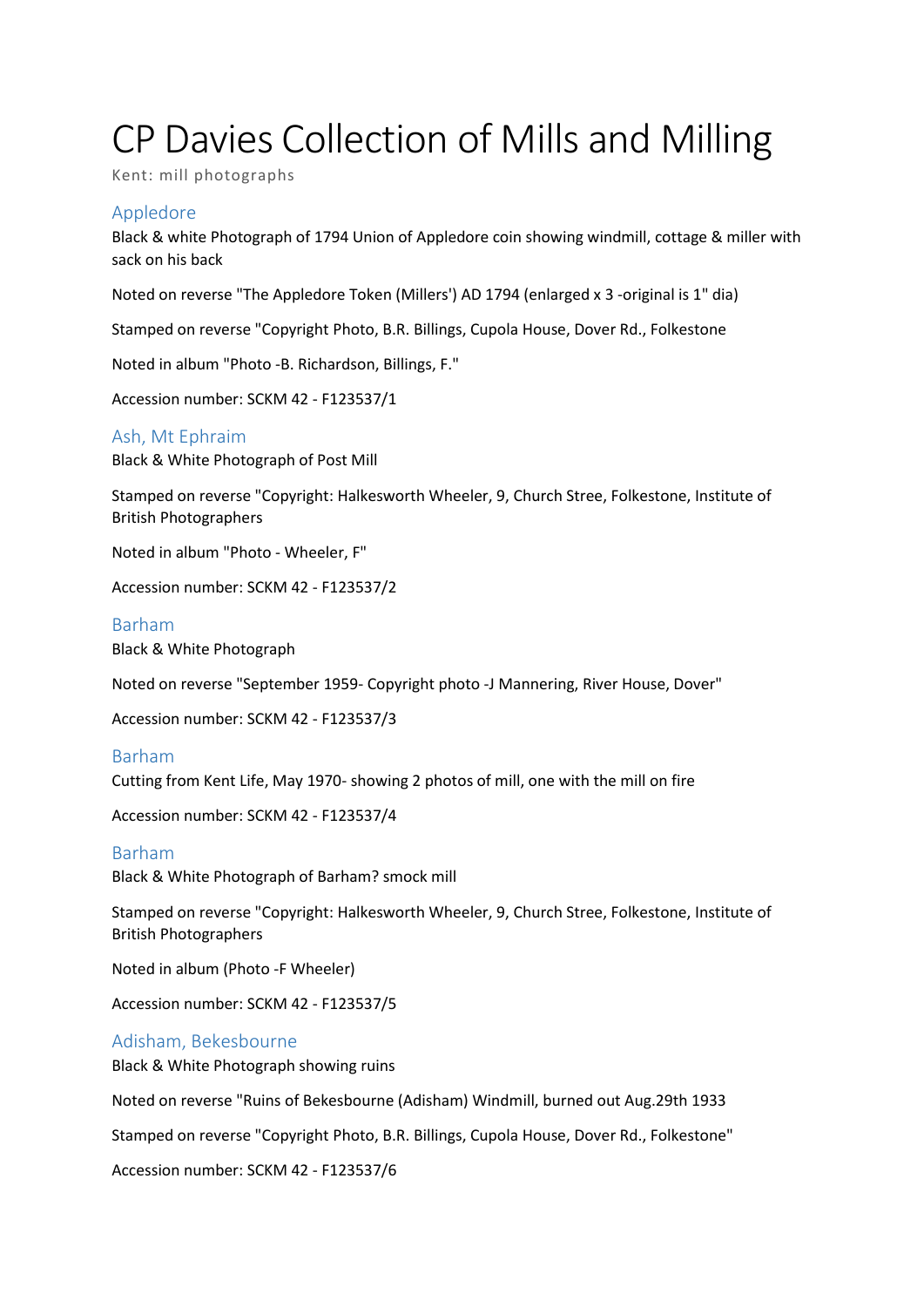# CP Davies Collection of Mills and Milling

Kent: mill photographs

## Appledore

Black & white Photograph of 1794 Union of Appledore coin showing windmill, cottage & miller with sack on his back

Noted on reverse "The Appledore Token (Millers') AD 1794 (enlarged x 3 -original is 1" dia)

Stamped on reverse "Copyright Photo, B.R. Billings, Cupola House, Dover Rd., Folkestone

Noted in album "Photo -B. Richardson, Billings, F."

Accession number: SCKM 42 - F123537/1

## Ash, Mt Ephraim

Black & White Photograph of Post Mill

Stamped on reverse "Copyright: Halkesworth Wheeler, 9, Church Stree, Folkestone, Institute of British Photographers

Noted in album "Photo - Wheeler, F"

Accession number: SCKM 42 - F123537/2

## Barham

Black & White Photograph

Noted on reverse "September 1959- Copyright photo -J Mannering, River House, Dover"

Accession number: SCKM 42 - F123537/3

## Barham

Cutting from Kent Life, May 1970- showing 2 photos of mill, one with the mill on fire

Accession number: SCKM 42 - F123537/4

## Barham

Black & White Photograph of Barham? smock mill

Stamped on reverse "Copyright: Halkesworth Wheeler, 9, Church Stree, Folkestone, Institute of British Photographers

Noted in album (Photo -F Wheeler)

Accession number: SCKM 42 - F123537/5

## Adisham, Bekesbourne

Black & White Photograph showing ruins

Noted on reverse "Ruins of Bekesbourne (Adisham) Windmill, burned out Aug.29th 1933

Stamped on reverse "Copyright Photo, B.R. Billings, Cupola House, Dover Rd., Folkestone"

Accession number: SCKM 42 - F123537/6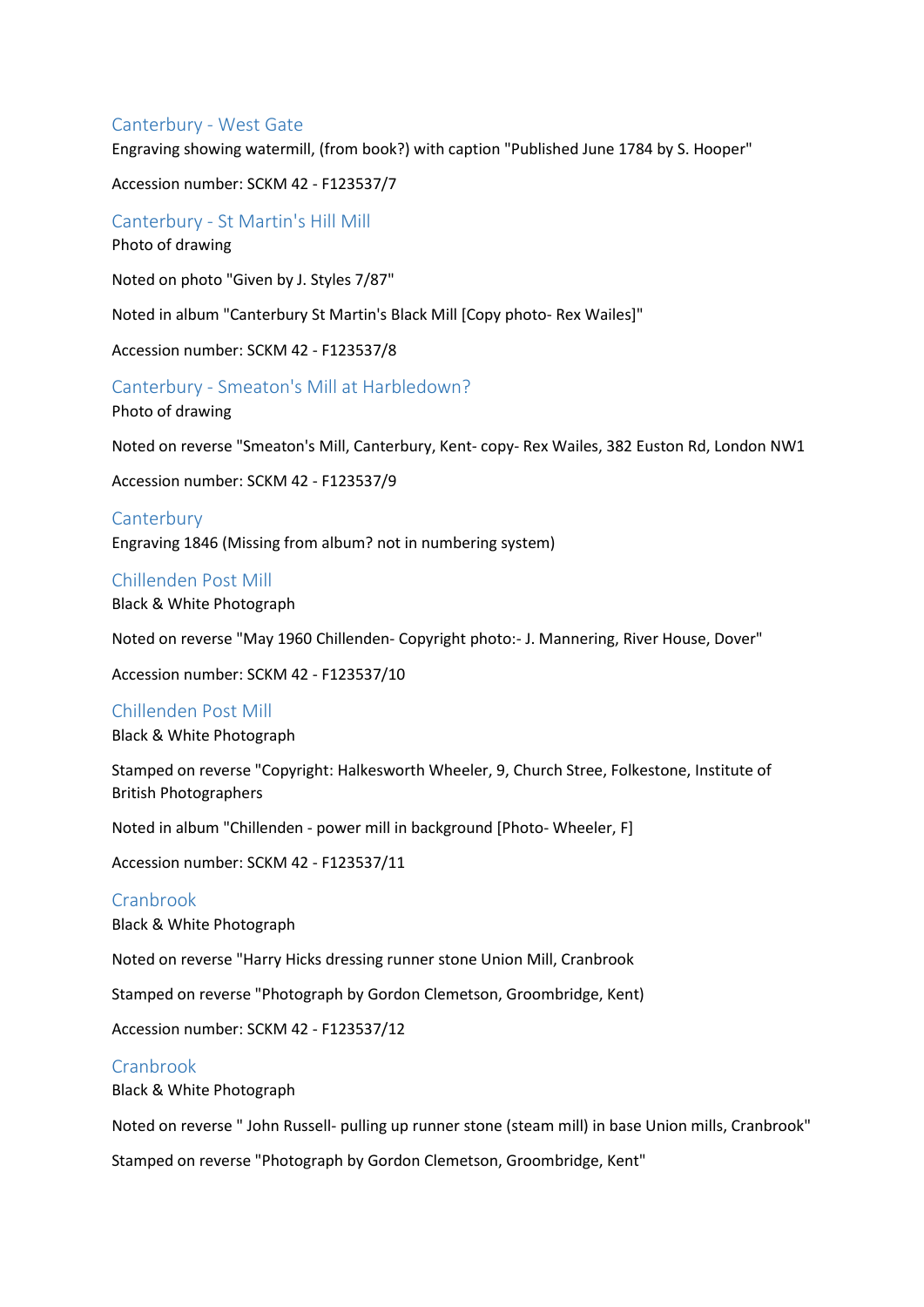## Canterbury - West Gate

Engraving showing watermill, (from book?) with caption "Published June 1784 by S. Hooper"

Accession number: SCKM 42 - F123537/7

Canterbury - St Martin's Hill Mill

Photo of drawing

Noted on photo "Given by J. Styles 7/87"

Noted in album "Canterbury St Martin's Black Mill [Copy photo- Rex Wailes]"

Accession number: SCKM 42 - F123537/8

Canterbury - Smeaton's Mill at Harbledown?

Photo of drawing

Noted on reverse "Smeaton's Mill, Canterbury, Kent- copy- Rex Wailes, 382 Euston Rd, London NW1

Accession number: SCKM 42 - F123537/9

#### **Canterbury**

Engraving 1846 (Missing from album? not in numbering system)

#### Chillenden Post Mill

Black & White Photograph

Noted on reverse "May 1960 Chillenden- Copyright photo:- J. Mannering, River House, Dover"

Accession number: SCKM 42 - F123537/10

#### Chillenden Post Mill

Black & White Photograph

Stamped on reverse "Copyright: Halkesworth Wheeler, 9, Church Stree, Folkestone, Institute of British Photographers

Noted in album "Chillenden - power mill in background [Photo- Wheeler, F]

Accession number: SCKM 42 - F123537/11

#### Cranbrook

Black & White Photograph

Noted on reverse "Harry Hicks dressing runner stone Union Mill, Cranbrook

Stamped on reverse "Photograph by Gordon Clemetson, Groombridge, Kent)

Accession number: SCKM 42 - F123537/12

#### Cranbrook

Black & White Photograph

Noted on reverse " John Russell- pulling up runner stone (steam mill) in base Union mills, Cranbrook"

Stamped on reverse "Photograph by Gordon Clemetson, Groombridge, Kent"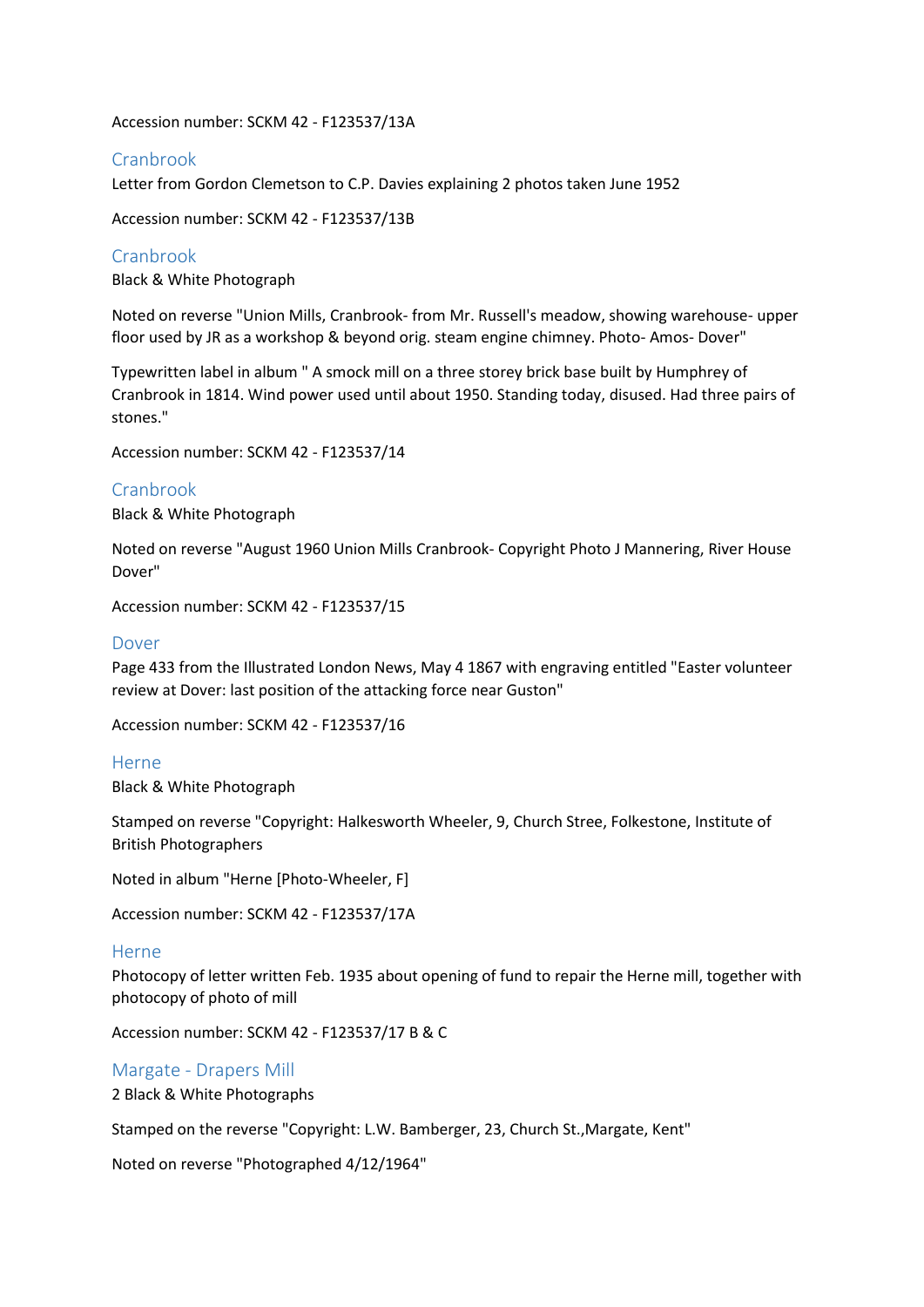Accession number: SCKM 42 - F123537/13A

# Cranbrook

Letter from Gordon Clemetson to C.P. Davies explaining 2 photos taken June 1952

Accession number: SCKM 42 - F123537/13B

Cranbrook

Black & White Photograph

Noted on reverse "Union Mills, Cranbrook- from Mr. Russell's meadow, showing warehouse- upper floor used by JR as a workshop & beyond orig. steam engine chimney. Photo- Amos- Dover"

Typewritten label in album " A smock mill on a three storey brick base built by Humphrey of Cranbrook in 1814. Wind power used until about 1950. Standing today, disused. Had three pairs of stones."

Accession number: SCKM 42 - F123537/14

## Cranbrook

Black & White Photograph

Noted on reverse "August 1960 Union Mills Cranbrook- Copyright Photo J Mannering, River House Dover"

Accession number: SCKM 42 - F123537/15

## Dover

Page 433 from the Illustrated London News, May 4 1867 with engraving entitled "Easter volunteer review at Dover: last position of the attacking force near Guston"

Accession number: SCKM 42 - F123537/16

#### Herne

Black & White Photograph

Stamped on reverse "Copyright: Halkesworth Wheeler, 9, Church Stree, Folkestone, Institute of British Photographers

Noted in album "Herne [Photo-Wheeler, F]

Accession number: SCKM 42 - F123537/17A

#### Herne

Photocopy of letter written Feb. 1935 about opening of fund to repair the Herne mill, together with photocopy of photo of mill

Accession number: SCKM 42 - F123537/17 B & C

Margate - Drapers Mill 2 Black & White Photographs

Stamped on the reverse "Copyright: L.W. Bamberger, 23, Church St.,Margate, Kent"

Noted on reverse "Photographed 4/12/1964"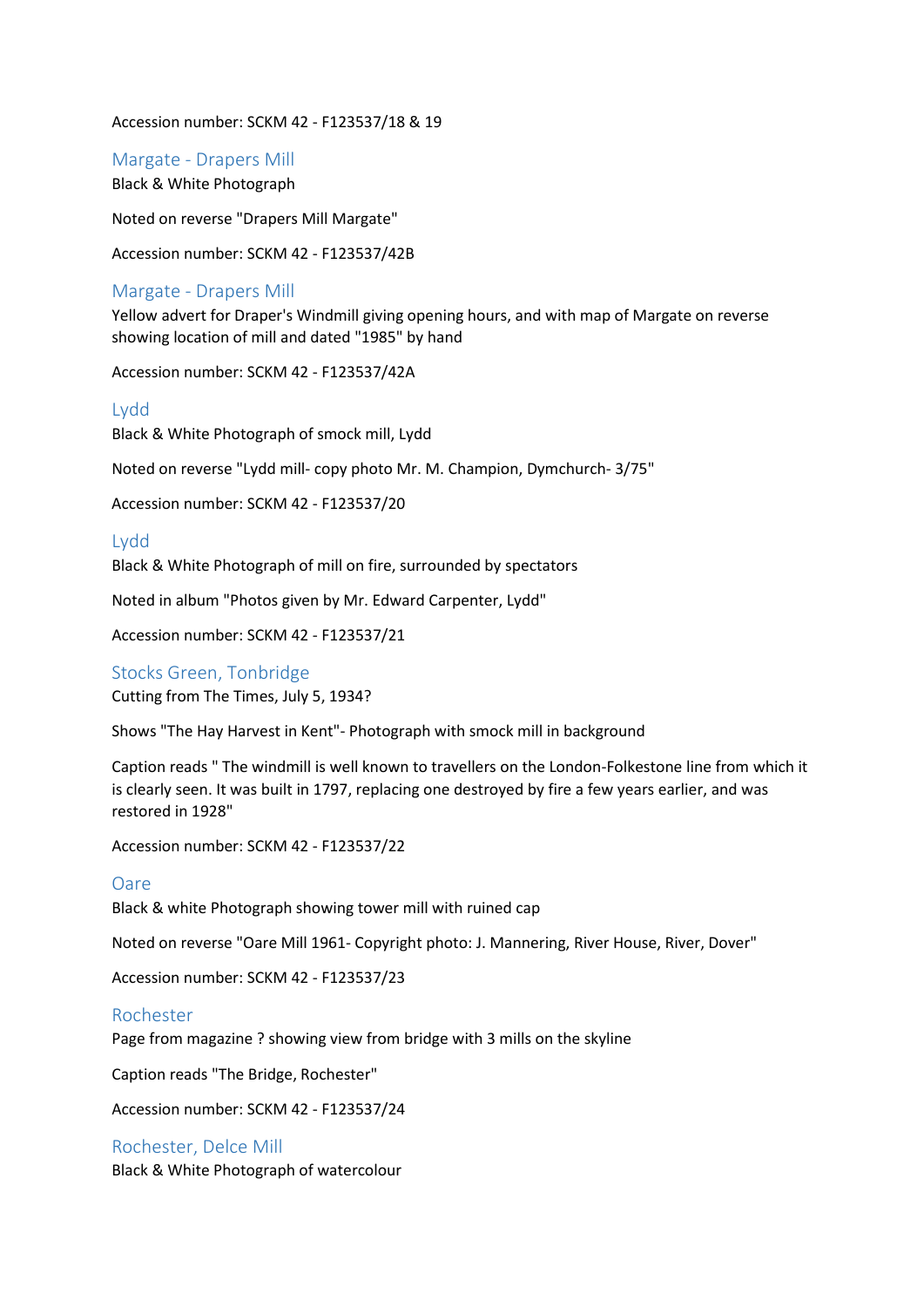Accession number: SCKM 42 - F123537/18 & 19

Margate - Drapers Mill Black & White Photograph

Noted on reverse "Drapers Mill Margate"

Accession number: SCKM 42 - F123537/42B

## Margate - Drapers Mill

Yellow advert for Draper's Windmill giving opening hours, and with map of Margate on reverse showing location of mill and dated "1985" by hand

Accession number: SCKM 42 - F123537/42A

#### Lydd

Black & White Photograph of smock mill, Lydd

Noted on reverse "Lydd mill- copy photo Mr. M. Champion, Dymchurch- 3/75"

Accession number: SCKM 42 - F123537/20

Lydd

Black & White Photograph of mill on fire, surrounded by spectators

Noted in album "Photos given by Mr. Edward Carpenter, Lydd"

Accession number: SCKM 42 - F123537/21

# Stocks Green, Tonbridge

Cutting from The Times, July 5, 1934?

Shows "The Hay Harvest in Kent"- Photograph with smock mill in background

Caption reads " The windmill is well known to travellers on the London-Folkestone line from which it is clearly seen. It was built in 1797, replacing one destroyed by fire a few years earlier, and was restored in 1928"

Accession number: SCKM 42 - F123537/22

#### Oare

Black & white Photograph showing tower mill with ruined cap

Noted on reverse "Oare Mill 1961- Copyright photo: J. Mannering, River House, River, Dover"

Accession number: SCKM 42 - F123537/23

#### Rochester

Page from magazine ? showing view from bridge with 3 mills on the skyline

Caption reads "The Bridge, Rochester"

Accession number: SCKM 42 - F123537/24

#### Rochester, Delce Mill

Black & White Photograph of watercolour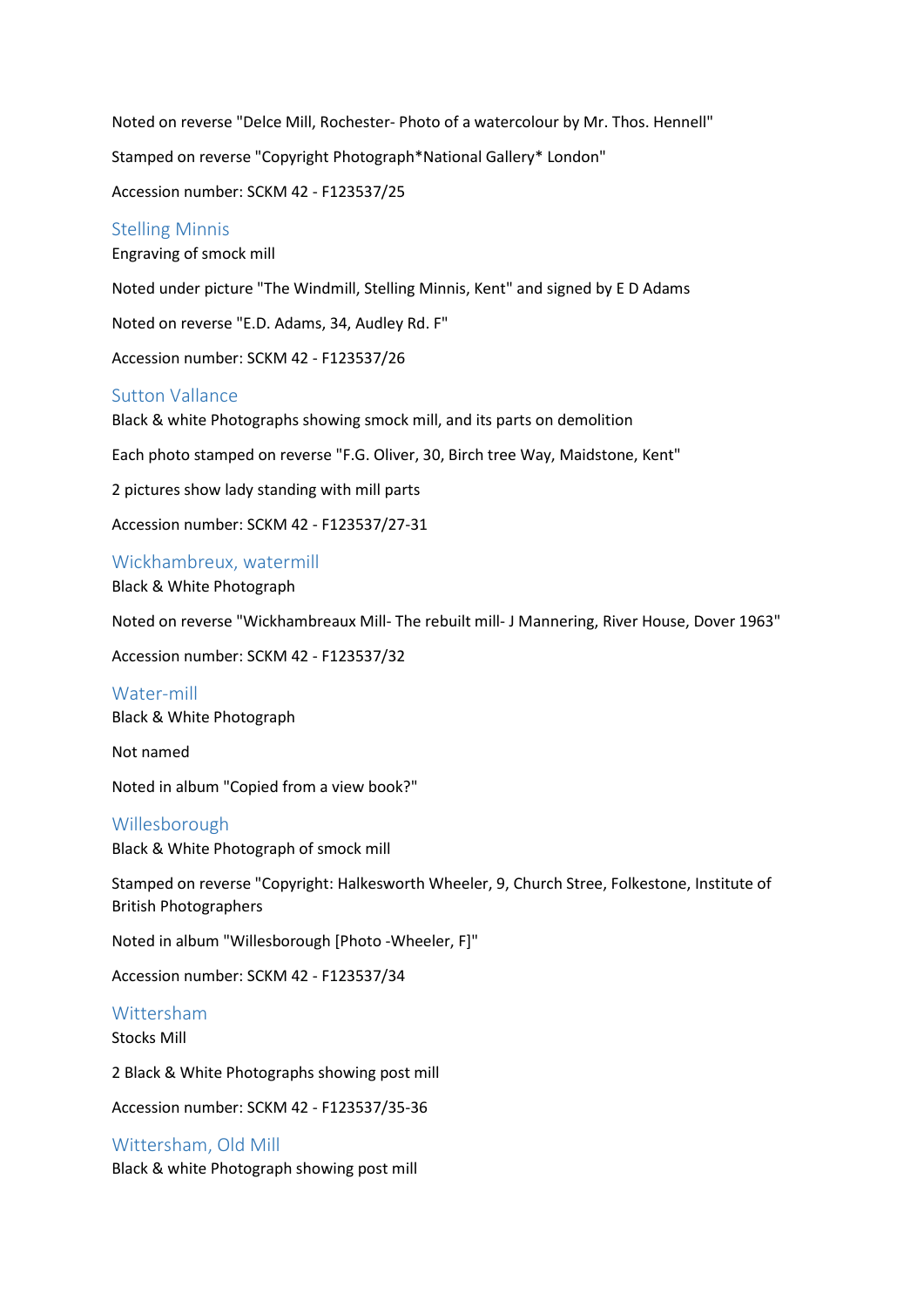Noted on reverse "Delce Mill, Rochester- Photo of a watercolour by Mr. Thos. Hennell" Stamped on reverse "Copyright Photograph\*National Gallery\* London" Accession number: SCKM 42 - F123537/25

# Stelling Minnis

Engraving of smock mill

Noted under picture "The Windmill, Stelling Minnis, Kent" and signed by E D Adams

Noted on reverse "E.D. Adams, 34, Audley Rd. F"

Accession number: SCKM 42 - F123537/26

## Sutton Vallance

Black & white Photographs showing smock mill, and its parts on demolition

Each photo stamped on reverse "F.G. Oliver, 30, Birch tree Way, Maidstone, Kent"

2 pictures show lady standing with mill parts

Accession number: SCKM 42 - F123537/27-31

Wickhambreux, watermill Black & White Photograph

Noted on reverse "Wickhambreaux Mill- The rebuilt mill- J Mannering, River House, Dover 1963"

Accession number: SCKM 42 - F123537/32

Water-mill Black & White Photograph

Not named

Noted in album "Copied from a view book?"

#### Willesborough

Black & White Photograph of smock mill

Stamped on reverse "Copyright: Halkesworth Wheeler, 9, Church Stree, Folkestone, Institute of British Photographers

Noted in album "Willesborough [Photo -Wheeler, F]"

Accession number: SCKM 42 - F123537/34

#### Wittersham

Stocks Mill

2 Black & White Photographs showing post mill

Accession number: SCKM 42 - F123537/35-36

## Wittersham, Old Mill

Black & white Photograph showing post mill